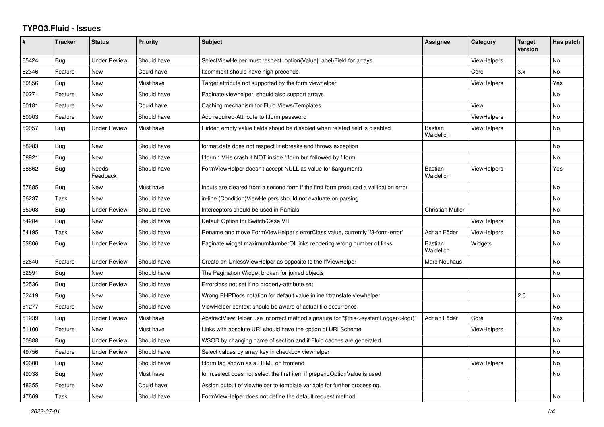## **TYPO3.Fluid - Issues**

| #     | <b>Tracker</b> | <b>Status</b>       | <b>Priority</b> | Subject                                                                              | Assignee                    | Category           | <b>Target</b><br>version | Has patch |
|-------|----------------|---------------------|-----------------|--------------------------------------------------------------------------------------|-----------------------------|--------------------|--------------------------|-----------|
| 65424 | Bug            | <b>Under Review</b> | Should have     | SelectViewHelper must respect option(Value Label)Field for arrays                    |                             | ViewHelpers        |                          | No        |
| 62346 | Feature        | New                 | Could have      | f:comment should have high precende                                                  |                             | Core               | 3.x                      | No        |
| 60856 | Bug            | New                 | Must have       | Target attribute not supported by the form viewhelper                                |                             | ViewHelpers        |                          | Yes       |
| 60271 | Feature        | <b>New</b>          | Should have     | Paginate viewhelper, should also support arrays                                      |                             |                    |                          | <b>No</b> |
| 60181 | Feature        | New                 | Could have      | Caching mechanism for Fluid Views/Templates                                          |                             | View               |                          | <b>No</b> |
| 60003 | Feature        | <b>New</b>          | Should have     | Add required-Attribute to f:form.password                                            |                             | <b>ViewHelpers</b> |                          | No        |
| 59057 | Bug            | <b>Under Review</b> | Must have       | Hidden empty value fields shoud be disabled when related field is disabled           | <b>Bastian</b><br>Waidelich | <b>ViewHelpers</b> |                          | <b>No</b> |
| 58983 | Bug            | <b>New</b>          | Should have     | format.date does not respect linebreaks and throws exception                         |                             |                    |                          | <b>No</b> |
| 58921 | Bug            | New                 | Should have     | f:form.* VHs crash if NOT inside f:form but followed by f:form                       |                             |                    |                          | No        |
| 58862 | Bug            | Needs<br>Feedback   | Should have     | FormViewHelper doesn't accept NULL as value for \$arguments                          | Bastian<br>Waidelich        | ViewHelpers        |                          | Yes       |
| 57885 | Bug            | New                 | Must have       | Inputs are cleared from a second form if the first form produced a vallidation error |                             |                    |                          | No        |
| 56237 | Task           | <b>New</b>          | Should have     | in-line (Condition)ViewHelpers should not evaluate on parsing                        |                             |                    |                          | No        |
| 55008 | Bug            | <b>Under Review</b> | Should have     | Interceptors should be used in Partials                                              | Christian Müller            |                    |                          | No        |
| 54284 | <b>Bug</b>     | New                 | Should have     | Default Option for Switch/Case VH                                                    |                             | ViewHelpers        |                          | No        |
| 54195 | Task           | New                 | Should have     | Rename and move FormViewHelper's errorClass value, currently 'f3-form-error'         | Adrian Föder                | ViewHelpers        |                          | No        |
| 53806 | Bug            | <b>Under Review</b> | Should have     | Paginate widget maximumNumberOfLinks rendering wrong number of links                 | Bastian<br>Waidelich        | Widgets            |                          | No        |
| 52640 | Feature        | <b>Under Review</b> | Should have     | Create an UnlessViewHelper as opposite to the IfViewHelper                           | Marc Neuhaus                |                    |                          | <b>No</b> |
| 52591 | <b>Bug</b>     | <b>New</b>          | Should have     | The Pagination Widget broken for joined objects                                      |                             |                    |                          | <b>No</b> |
| 52536 | Bug            | <b>Under Review</b> | Should have     | Errorclass not set if no property-attribute set                                      |                             |                    |                          |           |
| 52419 | Bug            | New                 | Should have     | Wrong PHPDocs notation for default value inline f:translate viewhelper               |                             |                    | 2.0                      | No        |
| 51277 | Feature        | <b>New</b>          | Should have     | ViewHelper context should be aware of actual file occurrence                         |                             |                    |                          | No        |
| 51239 | Bug            | <b>Under Review</b> | Must have       | AbstractViewHelper use incorrect method signature for "\$this->systemLogger->log()"  | Adrian Föder                | Core               |                          | Yes       |
| 51100 | Feature        | New                 | Must have       | Links with absolute URI should have the option of URI Scheme                         |                             | <b>ViewHelpers</b> |                          | No        |
| 50888 | Bug            | <b>Under Review</b> | Should have     | WSOD by changing name of section and if Fluid caches are generated                   |                             |                    |                          | No        |
| 49756 | Feature        | <b>Under Review</b> | Should have     | Select values by array key in checkbox viewhelper                                    |                             |                    |                          | No        |
| 49600 | <b>Bug</b>     | <b>New</b>          | Should have     | f:form tag shown as a HTML on frontend                                               |                             | ViewHelpers        |                          | <b>No</b> |
| 49038 | Bug            | <b>New</b>          | Must have       | form.select does not select the first item if prependOptionValue is used             |                             |                    |                          | <b>No</b> |
| 48355 | Feature        | New                 | Could have      | Assign output of viewhelper to template variable for further processing.             |                             |                    |                          |           |
| 47669 | Task           | New                 | Should have     | Form View Helper does not define the default request method                          |                             |                    |                          | No        |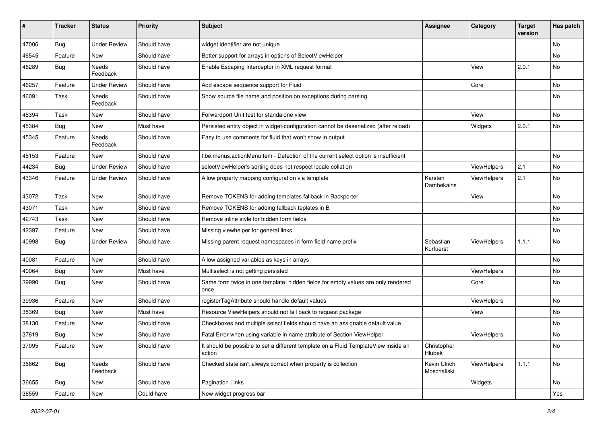| #     | <b>Tracker</b> | <b>Status</b>       | <b>Priority</b> | <b>Subject</b>                                                                                | <b>Assignee</b>             | Category    | <b>Target</b><br>version | Has patch |
|-------|----------------|---------------------|-----------------|-----------------------------------------------------------------------------------------------|-----------------------------|-------------|--------------------------|-----------|
| 47006 | Bug            | <b>Under Review</b> | Should have     | widget identifier are not unique                                                              |                             |             |                          | <b>No</b> |
| 46545 | Feature        | New                 | Should have     | Better support for arrays in options of SelectViewHelper                                      |                             |             |                          | No        |
| 46289 | Bug            | Needs<br>Feedback   | Should have     | Enable Escaping Interceptor in XML request format                                             |                             | View        | 2.0.1                    | No        |
| 46257 | Feature        | <b>Under Review</b> | Should have     | Add escape sequence support for Fluid                                                         |                             | Core        |                          | No        |
| 46091 | Task           | Needs<br>Feedback   | Should have     | Show source file name and position on exceptions during parsing                               |                             |             |                          | No        |
| 45394 | Task           | New                 | Should have     | Forwardport Unit test for standalone view                                                     |                             | View        |                          | No        |
| 45384 | Bug            | New                 | Must have       | Persisted entity object in widget-configuration cannot be deserialized (after reload)         |                             | Widgets     | 2.0.1                    | No        |
| 45345 | Feature        | Needs<br>Feedback   | Should have     | Easy to use comments for fluid that won't show in output                                      |                             |             |                          |           |
| 45153 | Feature        | <b>New</b>          | Should have     | f:be.menus.actionMenuItem - Detection of the current select option is insufficient            |                             |             |                          | <b>No</b> |
| 44234 | Bug            | <b>Under Review</b> | Should have     | selectViewHelper's sorting does not respect locale collation                                  |                             | ViewHelpers | 2.1                      | No        |
| 43346 | Feature        | <b>Under Review</b> | Should have     | Allow property mapping configuration via template                                             | Karsten<br>Dambekalns       | ViewHelpers | 2.1                      | No        |
| 43072 | Task           | <b>New</b>          | Should have     | Remove TOKENS for adding templates fallback in Backporter                                     |                             | View        |                          | No        |
| 43071 | Task           | New                 | Should have     | Remove TOKENS for adding fallback teplates in B                                               |                             |             |                          | No        |
| 42743 | Task           | New                 | Should have     | Remove inline style for hidden form fields                                                    |                             |             |                          | No        |
| 42397 | Feature        | New                 | Should have     | Missing viewhelper for general links                                                          |                             |             |                          | No        |
| 40998 | Bug            | <b>Under Review</b> | Should have     | Missing parent request namespaces in form field name prefix                                   | Sebastian<br>Kurfuerst      | ViewHelpers | 1.1.1                    | No        |
| 40081 | Feature        | <b>New</b>          | Should have     | Allow assigned variables as keys in arrays                                                    |                             |             |                          | No        |
| 40064 | Bug            | New                 | Must have       | Multiselect is not getting persisted                                                          |                             | ViewHelpers |                          | No        |
| 39990 | Bug            | New                 | Should have     | Same form twice in one template: hidden fields for empty values are only rendered<br>once     |                             | Core        |                          | <b>No</b> |
| 39936 | Feature        | New                 | Should have     | registerTagAttribute should handle default values                                             |                             | ViewHelpers |                          | No        |
| 38369 | Bug            | New                 | Must have       | Resource ViewHelpers should not fall back to request package                                  |                             | View        |                          | No        |
| 38130 | Feature        | New                 | Should have     | Checkboxes and multiple select fields should have an assignable default value                 |                             |             |                          | No        |
| 37619 | Bug            | New                 | Should have     | Fatal Error when using variable in name attribute of Section ViewHelper                       |                             | ViewHelpers |                          | No        |
| 37095 | Feature        | New                 | Should have     | It should be possible to set a different template on a Fluid TemplateView inside an<br>action | Christopher<br>Hlubek       |             |                          | No        |
| 36662 | <b>Bug</b>     | Needs<br>Feedback   | Should have     | Checked state isn't always correct when property is collection                                | Kevin Ulrich<br>Moschallski | ViewHelpers | 1.1.1                    | No        |
| 36655 | <b>Bug</b>     | New                 | Should have     | Pagination Links                                                                              |                             | Widgets     |                          | No        |
| 36559 | Feature        | New                 | Could have      | New widget progress bar                                                                       |                             |             |                          | Yes       |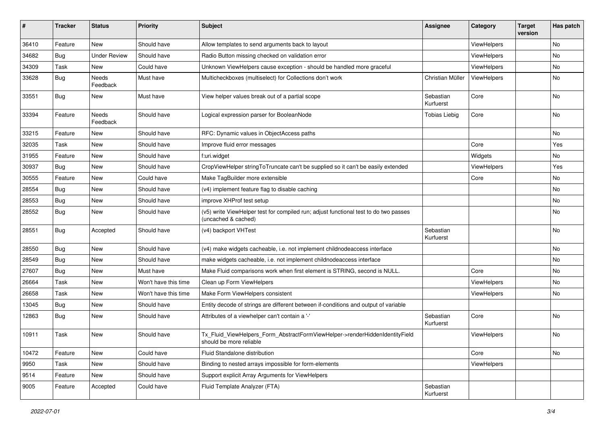| #     | <b>Tracker</b> | <b>Status</b>       | <b>Priority</b>      | Subject                                                                                                     | <b>Assignee</b>        | Category    | <b>Target</b><br>version | Has patch |
|-------|----------------|---------------------|----------------------|-------------------------------------------------------------------------------------------------------------|------------------------|-------------|--------------------------|-----------|
| 36410 | Feature        | New                 | Should have          | Allow templates to send arguments back to layout                                                            |                        | ViewHelpers |                          | No        |
| 34682 | <b>Bug</b>     | <b>Under Review</b> | Should have          | Radio Button missing checked on validation error                                                            |                        | ViewHelpers |                          | No        |
| 34309 | Task           | New                 | Could have           | Unknown ViewHelpers cause exception - should be handled more graceful                                       |                        | ViewHelpers |                          | No        |
| 33628 | Bug            | Needs<br>Feedback   | Must have            | Multicheckboxes (multiselect) for Collections don't work                                                    | Christian Müller       | ViewHelpers |                          | No        |
| 33551 | Bug            | New                 | Must have            | View helper values break out of a partial scope                                                             | Sebastian<br>Kurfuerst | Core        |                          | No        |
| 33394 | Feature        | Needs<br>Feedback   | Should have          | Logical expression parser for BooleanNode                                                                   | Tobias Liebig          | Core        |                          | No        |
| 33215 | Feature        | New                 | Should have          | RFC: Dynamic values in ObjectAccess paths                                                                   |                        |             |                          | No        |
| 32035 | Task           | New                 | Should have          | Improve fluid error messages                                                                                |                        | Core        |                          | Yes       |
| 31955 | Feature        | New                 | Should have          | f:uri.widget                                                                                                |                        | Widgets     |                          | No        |
| 30937 | <b>Bug</b>     | New                 | Should have          | CropViewHelper stringToTruncate can't be supplied so it can't be easily extended                            |                        | ViewHelpers |                          | Yes       |
| 30555 | Feature        | New                 | Could have           | Make TagBuilder more extensible                                                                             |                        | Core        |                          | No        |
| 28554 | <b>Bug</b>     | New                 | Should have          | (v4) implement feature flag to disable caching                                                              |                        |             |                          | No        |
| 28553 | <b>Bug</b>     | New                 | Should have          | improve XHProf test setup                                                                                   |                        |             |                          | No        |
| 28552 | Bug            | New                 | Should have          | (v5) write ViewHelper test for compiled run; adjust functional test to do two passes<br>(uncached & cached) |                        |             |                          | No        |
| 28551 | <b>Bug</b>     | Accepted            | Should have          | (v4) backport VHTest                                                                                        | Sebastian<br>Kurfuerst |             |                          | No        |
| 28550 | Bug            | New                 | Should have          | (v4) make widgets cacheable, i.e. not implement childnodeaccess interface                                   |                        |             |                          | No        |
| 28549 | Bug            | New                 | Should have          | make widgets cacheable, i.e. not implement childnodeaccess interface                                        |                        |             |                          | No        |
| 27607 | <b>Bug</b>     | New                 | Must have            | Make Fluid comparisons work when first element is STRING, second is NULL.                                   |                        | Core        |                          | No        |
| 26664 | Task           | New                 | Won't have this time | Clean up Form ViewHelpers                                                                                   |                        | ViewHelpers |                          | No        |
| 26658 | Task           | New                 | Won't have this time | Make Form ViewHelpers consistent                                                                            |                        | ViewHelpers |                          | No        |
| 13045 | <b>Bug</b>     | New                 | Should have          | Entity decode of strings are different between if-conditions and output of variable                         |                        |             |                          |           |
| 12863 | Bug            | New                 | Should have          | Attributes of a viewhelper can't contain a '-'                                                              | Sebastian<br>Kurfuerst | Core        |                          | No        |
| 10911 | Task           | New                 | Should have          | Tx_Fluid_ViewHelpers_Form_AbstractFormViewHelper->renderHiddenIdentityField<br>should be more reliable      |                        | ViewHelpers |                          | No        |
| 10472 | Feature        | New                 | Could have           | Fluid Standalone distribution                                                                               |                        | Core        |                          | No        |
| 9950  | Task           | New                 | Should have          | Binding to nested arrays impossible for form-elements                                                       |                        | ViewHelpers |                          |           |
| 9514  | Feature        | New                 | Should have          | Support explicit Array Arguments for ViewHelpers                                                            |                        |             |                          |           |
| 9005  | Feature        | Accepted            | Could have           | Fluid Template Analyzer (FTA)                                                                               | Sebastian<br>Kurfuerst |             |                          |           |